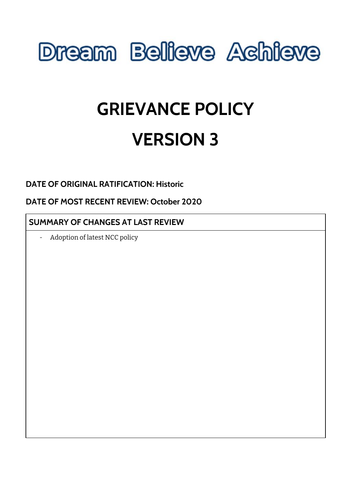

# **GRIEVANCE POLICY VERSION 3**

# **DATE OF ORIGINAL RATIFICATION: Historic**

**DATE OF MOST RECENT REVIEW: October 2020**

## **SUMMARY OF CHANGES AT LAST REVIEW**

- Adoption of latest NCC policy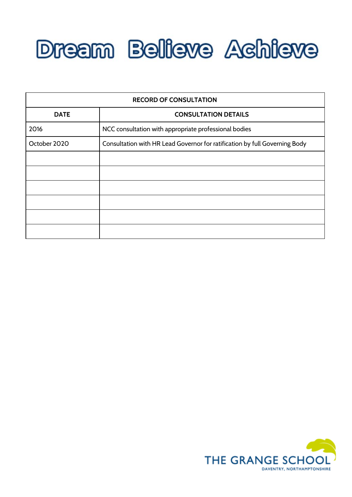

| <b>RECORD OF CONSULTATION</b> |                                                                            |
|-------------------------------|----------------------------------------------------------------------------|
| <b>DATE</b>                   | <b>CONSULTATION DETAILS</b>                                                |
| 2016                          | NCC consultation with appropriate professional bodies                      |
| October 2020                  | Consultation with HR Lead Governor for ratification by full Governing Body |
|                               |                                                                            |
|                               |                                                                            |
|                               |                                                                            |
|                               |                                                                            |
|                               |                                                                            |
|                               |                                                                            |

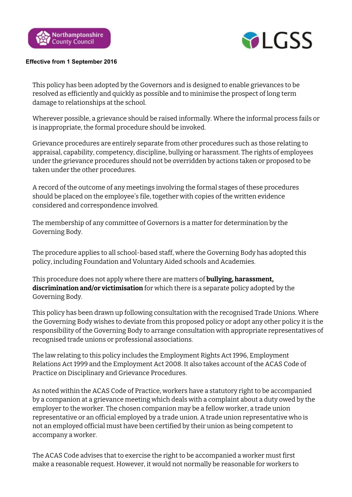



#### **Effective from 1 September 2016**

This policy has been adopted by the Governors and is designed to enable grievances to be resolved as efficiently and quickly as possible and to minimise the prospect of long term damage to relationships at the school.

Wherever possible, a grievance should be raised informally. Where the informal process fails or is inappropriate, the formal procedure should be invoked.

Grievance procedures are entirely separate from other procedures such as those relating to appraisal, capability, competency, discipline, bullying or harassment. The rights of employees under the grievance procedures should not be overridden by actions taken or proposed to be taken under the other procedures.

A record of the outcome of any meetings involving the formal stages of these procedures should be placed on the employee's file, together with copies of the written evidence considered and correspondence involved.

The membership of any committee of Governors is a matter for determination by the Governing Body.

The procedure applies to all school-based staff, where the Governing Body has adopted this policy, including Foundation and Voluntary Aided schools and Academies.

This procedure does not apply where there are matters of **bullying, harassment, discrimination and/or victimisation** for which there is a separate policy adopted by the Governing Body.

This policy has been drawn up following consultation with the recognised Trade Unions. Where the Governing Body wishes to deviate from this proposed policy or adopt any other policy it is the responsibility of the Governing Body to arrange consultation with appropriate representatives of recognised trade unions or professional associations.

The law relating to this policy includes the Employment Rights Act 1996, Employment Relations Act 1999 and the Employment Act 2008. It also takes account of the ACAS Code of Practice on Disciplinary and Grievance Procedures.

As noted within the ACAS Code of Practice, workers have a statutory right to be accompanied by a companion at a grievance meeting which deals with a complaint about a duty owed by the employer to the worker. The chosen companion may be a fellow worker, a trade union representative or an official employed by a trade union. A trade union representative who is not an employed official must have been certified by their union as being competent to accompany a worker.

The ACAS Code advises that to exercise the right to be accompanied a worker must first make a reasonable request. However, it would not normally be reasonable for workers to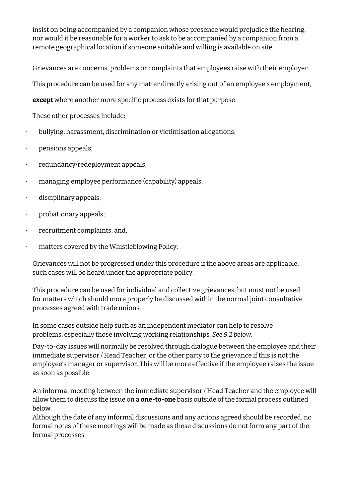insist on being accompanied by a companion whose presence would prejudice the hearing, nor would it be reasonable for a worker to ask to be accompanied by a companion from a remote geographical location if someone suitable and willing is available on site.

Grievances are concerns, problems or complaints that employees raise with their employer.

This procedure can be used for any matter directly arising out of an employee's employment,

**except** where another more specific process exists for that purpose.

These other processes include:

- · bullying, harassment, discrimination or victimisation allegations;
- · pensions appeals;
- · redundancy/redeployment appeals;
- · managing employee performance (capability) appeals;
- · disciplinary appeals;
- · probationary appeals;
- · recruitment complaints; and,
- · matters covered by the Whistleblowing Policy.

Grievances will not be progressed under this procedure if the above areas are applicable; such cases will be heard under the appropriate policy.

This procedure can be used for individual and collective grievances, but must not be used for matters which should more properly be discussed within the normal joint consultative processes agreed with trade unions.

In some cases outside help such as an independent mediator can help to resolve problems, especially those involving working relationships. *See 9.2 below*.

Day-to-day issues will normally be resolved through dialogue between the employee and their immediate supervisor / Head Teacher; or the other party to the grievance if this is not the employee's manager or supervisor*.* This will be more effective if the employee raises the issue as soon as possible.

An informal meeting between the immediate supervisor / Head Teacher and the employee will allow them to discuss the issue on a **one-to-one** basis outside of the formal process outlined below.

Although the date of any informal discussions and any actions agreed should be recorded, no formal notes of these meetings will be made as these discussions do not form any part of the formal processes.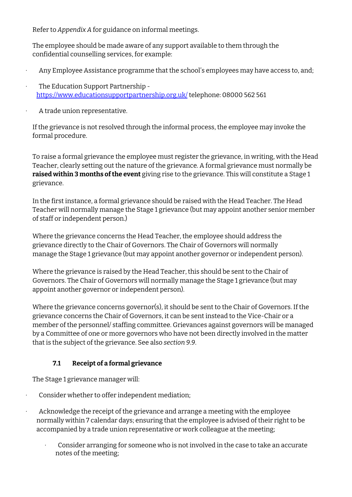Refer to *Appendix A* for guidance on informal meetings.

The employee should be made aware of any support available to them through the confidential counselling services, for example:

- Any Employee Assistance programme that the school's employees may have access to, and;
- · The Education Support Partnership  <https://www.educationsupportpartnership.org.uk/> telephone: 08000 562 561
- · A trade union representative.

If the grievance is not resolved through the informal process, the employee may invoke the formal procedure.

To raise a formal grievance the employee must register the grievance, in writing, with the Head Teacher, clearly setting out the nature of the grievance. A formal grievance must normally be **raised within 3 months of the event** giving rise to the grievance. This will constitute a Stage 1 grievance.

In the first instance, a formal grievance should be raised with the Head Teacher. The Head Teacher will normally manage the Stage 1 grievance (but may appoint another senior member of staff or independent person.)

Where the grievance concerns the Head Teacher, the employee should address the grievance directly to the Chair of Governors. The Chair of Governors will normally manage the Stage 1 grievance (but may appoint another governor or independent person).

Where the grievance is raised by the Head Teacher, this should be sent to the Chair of Governors. The Chair of Governors will normally manage the Stage 1 grievance (but may appoint another governor or independent person).

Where the grievance concerns governor(s), it should be sent to the Chair of Governors. If the grievance concerns the Chair of Governors, it can be sent instead to the Vice-Chair or a member of the personnel/ staffing committee. Grievances against governors will be managed by a Committee of one or more governors who have not been directly involved in the matter that is the subject of the grievance. See also *section 9.9*.

### **7.1 Receipt of a formal grievance**

The Stage 1 grievance manager will:

- Consider whether to offer independent mediation;
- Acknowledge the receipt of the grievance and arrange a meeting with the employee normally within 7 calendar days; ensuring that the employee is advised of their right to be accompanied by a trade union representative or work colleague at the meeting;
	- · Consider arranging for someone who is not involved in the case to take an accurate notes of the meeting;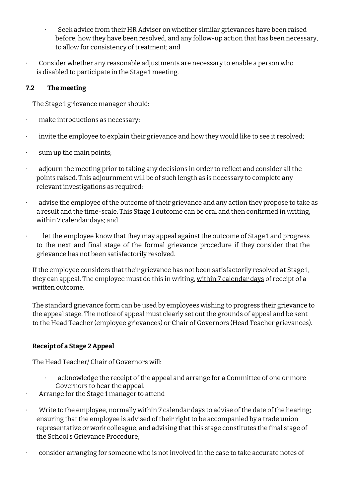- Seek advice from their HR Adviser on whether similar grievances have been raised before, how they have been resolved, and any follow-up action that has been necessary, to allow for consistency of treatment; and
- · Consider whether any reasonable adjustments are necessary to enable a person who is disabled to participate in the Stage 1 meeting.

#### **7.2 The meeting**

The Stage 1 grievance manager should:

- · make introductions as necessary;
- · invite the employee to explain their grievance and how they would like to see it resolved;
- · sum up the main points;
- · adjourn the meeting prior to taking any decisions in order to reflect and consider all the points raised. This adjournment will be of such length as is necessary to complete any relevant investigations as required;
- advise the employee of the outcome of their grievance and any action they propose to take as a result and the time-scale. This Stage 1 outcome can be oral and then confirmed in writing, within 7 calendar days; and
- · let the employee know that they may appeal against the outcome of Stage 1 and progress to the next and final stage of the formal grievance procedure if they consider that the grievance has not been satisfactorily resolved.

If the employee considers that their grievance has not been satisfactorily resolved at Stage 1, they can appeal. The employee must do this in writing, within 7 calendar days of receipt of a written outcome.

The standard grievance form can be used by employees wishing to progress their grievance to the appeal stage. The notice of appeal must clearly set out the grounds of appeal and be sent to the Head Teacher (employee grievances) or Chair of Governors (Head Teacher grievances).

### **Receipt of a Stage 2 Appeal**

The Head Teacher/ Chair of Governors will:

- acknowledge the receipt of the appeal and arrange for a Committee of one or more Governors to hear the appeal.
- · Arrange for the Stage 1 manager to attend
- Write to the employee, normally within 7 calendar days to advise of the date of the hearing; ensuring that the employee is advised of their right to be accompanied by a trade union representative or work colleague, and advising that this stage constitutes the final stage of the School's Grievance Procedure;
- · consider arranging for someone who is not involved in the case to take accurate notes of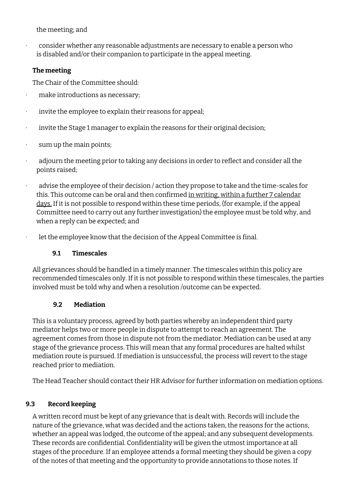the meeting; and

· consider whether any reasonable adjustments are necessary to enable a person who is disabled and/or their companion to participate in the appeal meeting.

#### **The meeting**

The Chair of the Committee should:

- · make introductions as necessary;
- · invite the employee to explain their reasons for appeal;
- · invite the Stage 1 manager to explain the reasons for their original decision;
- · sum up the main points;
- · adjourn the meeting prior to taking any decisions in order to reflect and consider all the points raised;
- advise the employee of their decision / action they propose to take and the time-scales for this. This outcome can be oral and then confirmed in writing, within a further 7 calendar days. If it is not possible to respond within these time periods, (for example, if the appeal Committee need to carry out any further investigation) the employee must be told why, and when a reply can be expected; and
- let the employee know that the decision of the Appeal Committee is final.

#### **9.1 Timescales**

All grievances should be handled in a timely manner. The timescales within this policy are recommended timescales only. If it is not possible to respond within these timescales, the parties involved must be told why and when a resolution /outcome can be expected.

### **9.2 Mediation**

This is a voluntary process, agreed by both parties whereby an independent third party mediator helps two or more people in dispute to attempt to reach an agreement. The agreement comes from those in dispute not from the mediator. Mediation can be used at any stage of the grievance process. This will mean that any formal procedures are halted whilst mediation route is pursued. If mediation is unsuccessful, the process will revert to the stage reached prior to mediation.

The Head Teacher should contact their HR Advisor for further information on mediation options.

### **9.3 Record keeping**

A written record must be kept of any grievance that is dealt with. Records will include the nature of the grievance, what was decided and the actions taken, the reasons for the actions, whether an appeal was lodged, the outcome of the appeal; and any subsequent developments. These records are confidential. Confidentiality will be given the utmost importance at all stages of the procedure. If an employee attends a formal meeting they should be given a copy of the notes of that meeting and the opportunity to provide annotations to those notes. If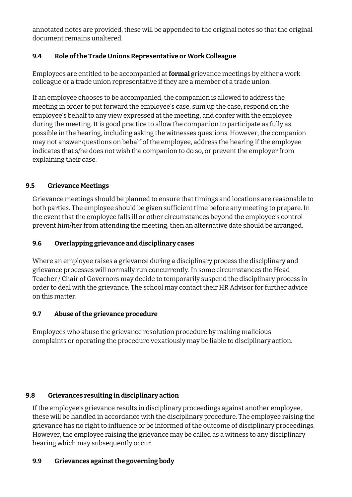annotated notes are provided, these will be appended to the original notes so that the original document remains unaltered.

### **9.4 Role ofthe Trade Unions Representative or Work Colleague**

Employees are entitled to be accompanied at **formal** grievance meetings by either a work colleague or a trade union representative if they are a member of a trade union.

If an employee chooses to be accompanied, the companion is allowed to address the meeting in order to put forward the employee's case, sum up the case, respond on the employee's behalf to any view expressed at the meeting, and confer with the employee during the meeting. It is good practice to allow the companion to participate as fully as possible in the hearing, including asking the witnesses questions. However, the companion may not answer questions on behalf of the employee, address the hearing if the employee indicates that s/he does not wish the companion to do so, or prevent the employer from explaining their case.

#### **9.5 Grievance Meetings**

Grievance meetings should be planned to ensure that timings and locations are reasonable to both parties. The employee should be given sufficient time before any meeting to prepare. In the event that the employee falls ill or other circumstances beyond the employee's control prevent him/her from attending the meeting, then an alternative date should be arranged.

#### **9.6 Overlapping grievance and disciplinary cases**

Where an employee raises a grievance during a disciplinary process the disciplinary and grievance processes will normally run concurrently. In some circumstances the Head Teacher / Chair of Governors may decide to temporarily suspend the disciplinary process in order to deal with the grievance. The school may contact their HR Advisor for further advice on this matter.

#### **9.7 Abuse ofthe grievance procedure**

Employees who abuse the grievance resolution procedure by making malicious complaints or operating the procedure vexatiously may be liable to disciplinary action.

### **9.8 Grievances resulting in disciplinary action**

If the employee's grievance results in disciplinary proceedings against another employee, these will be handled in accordance with the disciplinary procedure. The employee raising the grievance has no right to influence or be informed of the outcome of disciplinary proceedings. However, the employee raising the grievance may be called as a witness to any disciplinary hearing which may subsequently occur.

#### **9.9 Grievances againstthe governing body**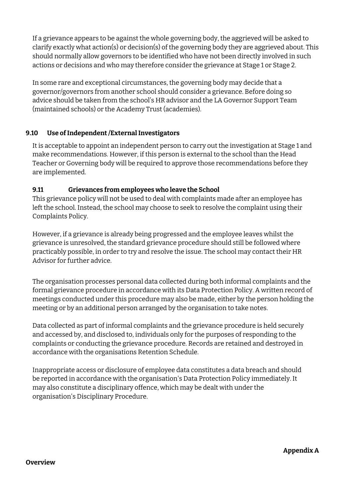If a grievance appears to be against the whole governing body, the aggrieved will be asked to clarify exactly what action(s) or decision(s) of the governing body they are aggrieved about. This should normally allow governors to be identified who have not been directly involved in such actions or decisions and who may therefore consider the grievance at Stage 1 or Stage 2.

In some rare and exceptional circumstances, the governing body may decide that a governor/governors from another school should consider a grievance. Before doing so advice should be taken from the school's HR advisor and the LA Governor Support Team (maintained schools) or the Academy Trust (academies).

#### **9.10 Use ofIndependent/ExternalInvestigators**

It is acceptable to appoint an independent person to carry out the investigation at Stage 1 and make recommendations. However, if this person is external to the school than the Head Teacher or Governing body will be required to approve those recommendations before they are implemented.

#### **9.11 Grievances from employees who leave the School**

This grievance policy will not be used to deal with complaints made after an employee has left the school. Instead, the school may choose to seek to resolve the complaint using their Complaints Policy.

However, if a grievance is already being progressed and the employee leaves whilst the grievance is unresolved, the standard grievance procedure should still be followed where practicably possible, in order to try and resolve the issue. The school may contact their HR Advisor for further advice.

The organisation processes personal data collected during both informal complaints and the formal grievance procedure in accordance with its Data Protection Policy. A written record of meetings conducted under this procedure may also be made, either by the person holding the meeting or by an additional person arranged by the organisation to take notes.

Data collected as part of informal complaints and the grievance procedure is held securely and accessed by, and disclosed to, individuals only for the purposes of responding to the complaints or conducting the grievance procedure. Records are retained and destroyed in accordance with the organisations Retention Schedule.

Inappropriate access or disclosure of employee data constitutes a data breach and should be reported in accordance with the organisation's Data Protection Policy immediately. It may also constitute a disciplinary offence, which may be dealt with under the organisation's Disciplinary Procedure.